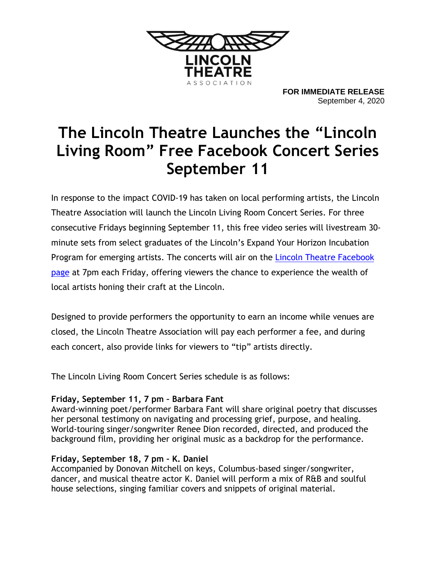

**FOR IMMEDIATE RELEASE** September 4, 2020

# **The Lincoln Theatre Launches the "Lincoln Living Room" Free Facebook Concert Series September 11**

In response to the impact COVID-19 has taken on local performing artists, the Lincoln Theatre Association will launch the Lincoln Living Room Concert Series. For three consecutive Fridays beginning September 11, this free video series will livestream 30 minute sets from select graduates of the Lincoln's Expand Your Horizon Incubation Program for emerging artists. The concerts will air on the **Lincoln Theatre Facebook** [page](https://www.facebook.com/lincolntheatrecolumbus/) at 7pm each Friday, offering viewers the chance to experience the wealth of local artists honing their craft at the Lincoln.

Designed to provide performers the opportunity to earn an income while venues are closed, the Lincoln Theatre Association will pay each performer a fee, and during each concert, also provide links for viewers to "tip" artists directly.

The Lincoln Living Room Concert Series schedule is as follows:

## **Friday, September 11, 7 pm – Barbara Fant**

Award-winning poet/performer Barbara Fant will share original poetry that discusses her personal testimony on navigating and processing grief, purpose, and healing. World-touring singer/songwriter Renee Dion recorded, directed, and produced the background film, providing her original music as a backdrop for the performance.

## **Friday, September 18, 7 pm – K. Daniel**

Accompanied by Donovan Mitchell on keys, Columbus-based singer/songwriter, dancer, and musical theatre actor K. Daniel will perform a mix of R&B and soulful house selections, singing familiar covers and snippets of original material.